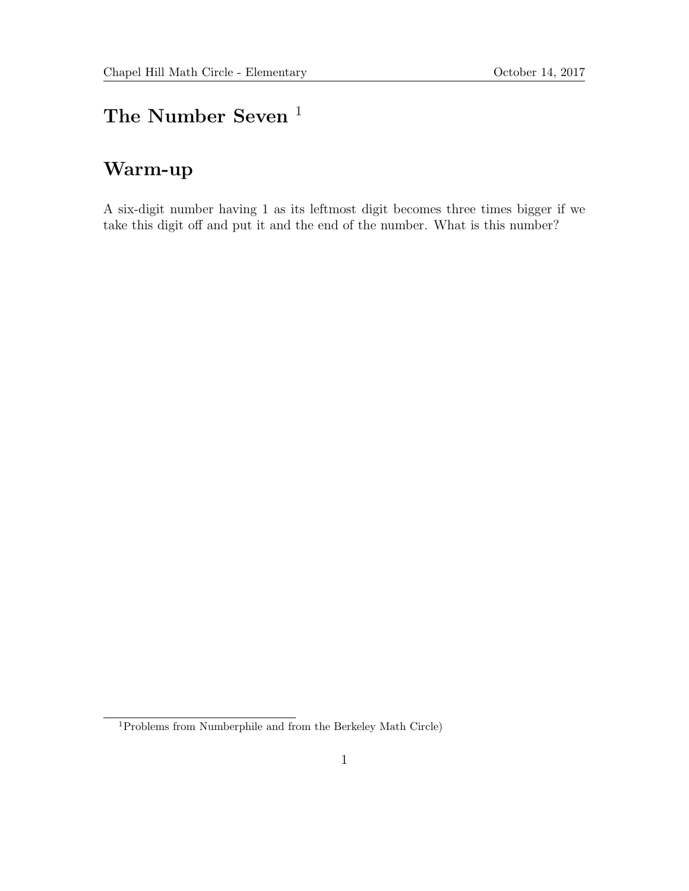## The Number Seven  $^{\mathrm{1}}$

### Warm-up

A six-digit number having 1 as its leftmost digit becomes three times bigger if we take this digit off and put it and the end of the number. What is this number?

<sup>1</sup>Problems from Numberphile and from the Berkeley Math Circle)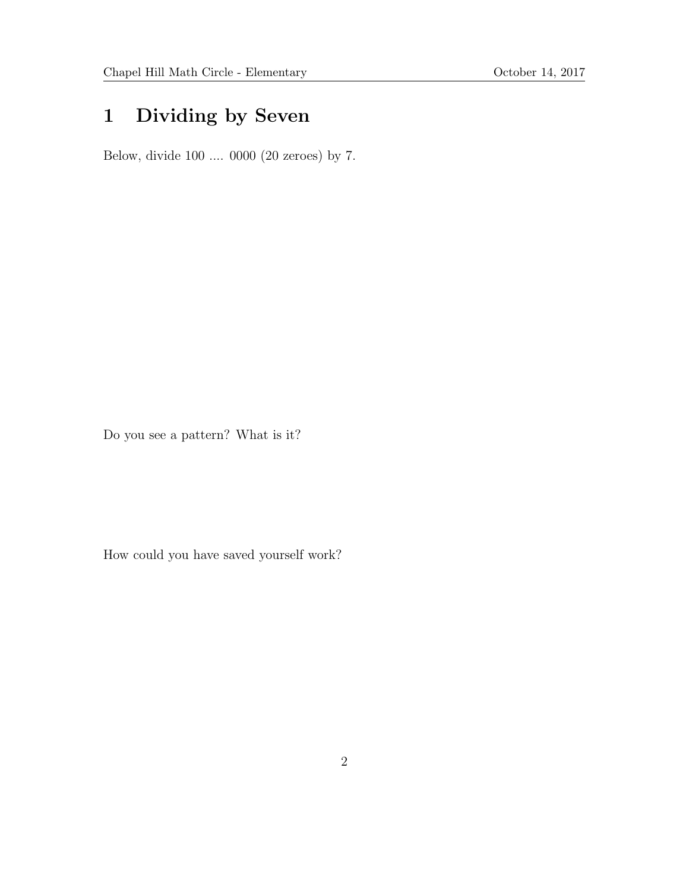# 1 Dividing by Seven

Below, divide 100 .... 0000 (20 zeroes) by 7.

Do you see a pattern? What is it?

How could you have saved yourself work?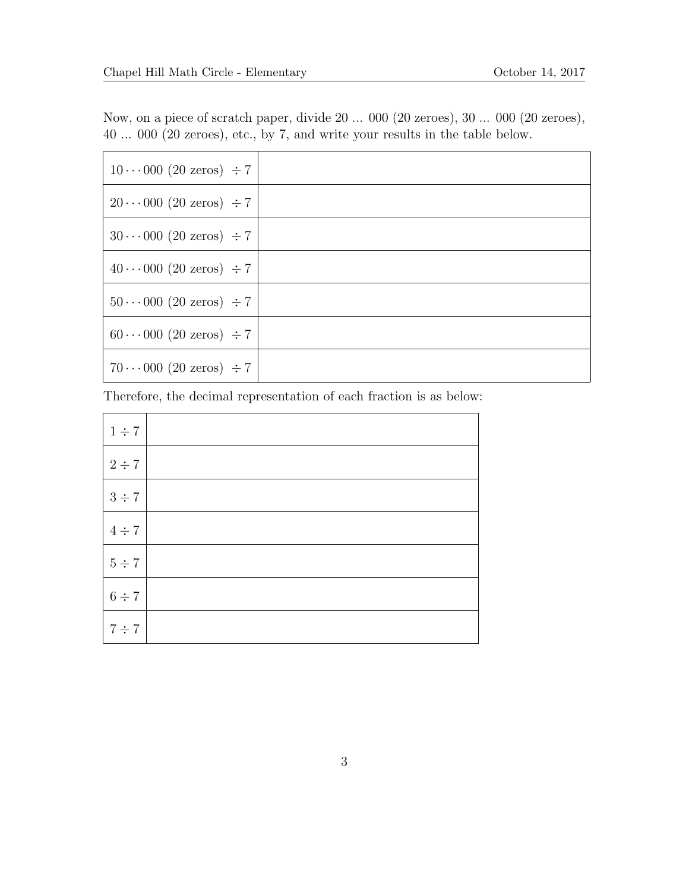Now, on a piece of scratch paper, divide 20 ... 000 (20 zeroes), 30 ... 000 (20 zeroes), 40 ... 000 (20 zeroes), etc., by 7, and write your results in the table below.

| $10 \cdots 000$ (20 zeros) $\div 7$ |  |
|-------------------------------------|--|
| $20 \cdots 000$ (20 zeros) $\div 7$ |  |
| $30 \cdots 000$ (20 zeros) $\div 7$ |  |
| $40 \cdots 000$ (20 zeros) $\div 7$ |  |
| $50 \cdots 000$ (20 zeros) $\div 7$ |  |
| $60 \cdots 000$ (20 zeros) $\div 7$ |  |
| $70 \cdots 000$ (20 zeros) $\div 7$ |  |

Therefore, the decimal representation of each fraction is as below:

| $1 \div 7$ |  |
|------------|--|
| $2 \div 7$ |  |
| $3 \div 7$ |  |
| $4 \div 7$ |  |
| $5 \div 7$ |  |
| $6 \div 7$ |  |
| $7 \div 7$ |  |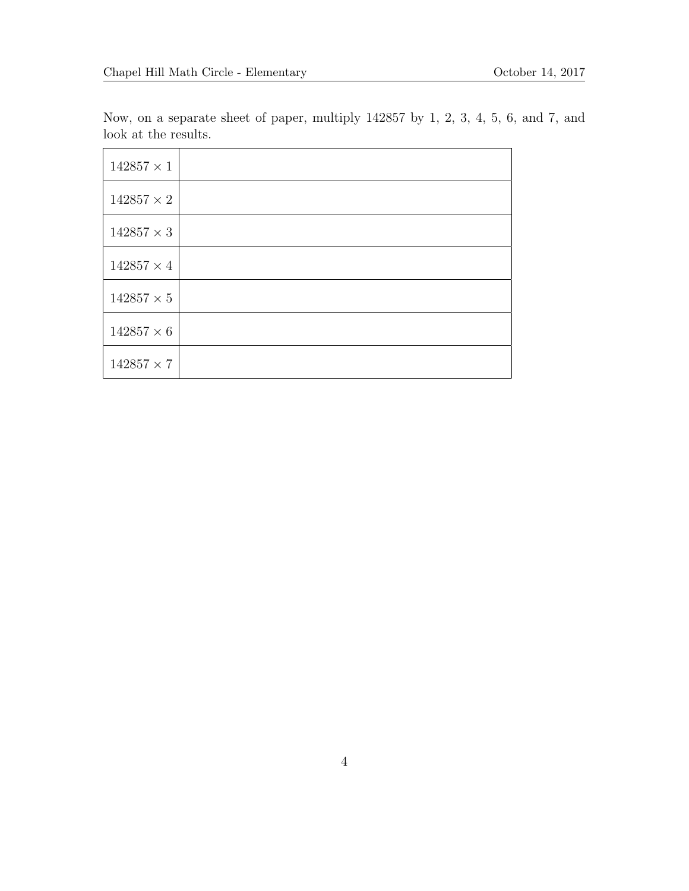Now, on a separate sheet of paper, multiply 142857 by 1, 2, 3, 4, 5, 6, and 7, and look at the results.

| $142857\times1$   |  |
|-------------------|--|
| $142857\times 2$  |  |
| $142857 \times 3$ |  |
| $142857 \times 4$ |  |
| $142857 \times 5$ |  |
| $142857 \times 6$ |  |
| $142857 \times 7$ |  |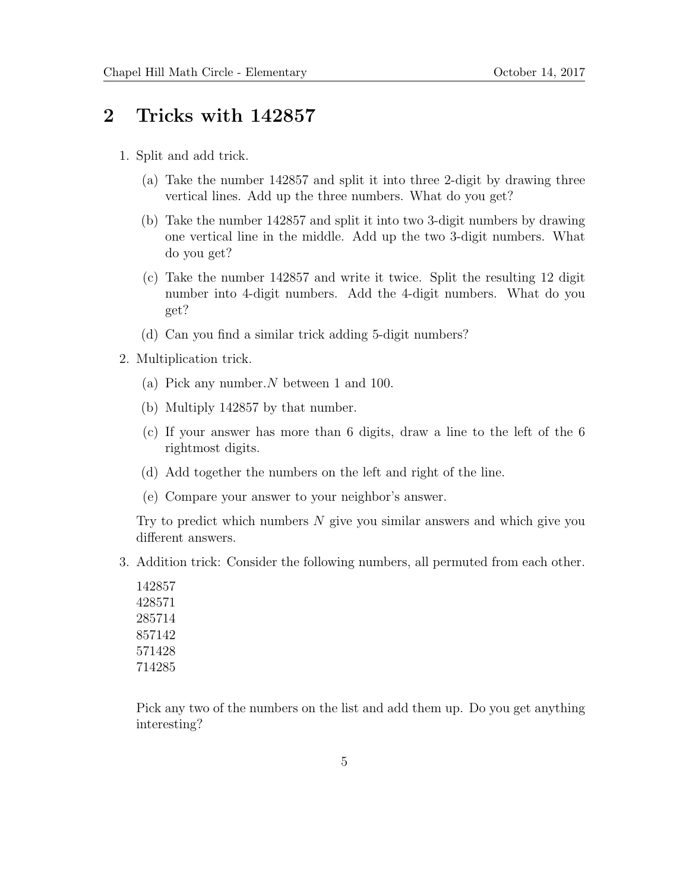#### 2 Tricks with 142857

- 1. Split and add trick.
	- (a) Take the number 142857 and split it into three 2-digit by drawing three vertical lines. Add up the three numbers. What do you get?
	- (b) Take the number 142857 and split it into two 3-digit numbers by drawing one vertical line in the middle. Add up the two 3-digit numbers. What do you get?
	- (c) Take the number 142857 and write it twice. Split the resulting 12 digit number into 4-digit numbers. Add the 4-digit numbers. What do you get?
	- (d) Can you find a similar trick adding 5-digit numbers?
- 2. Multiplication trick.
	- (a) Pick any number.N between 1 and 100.
	- (b) Multiply 142857 by that number.
	- (c) If your answer has more than 6 digits, draw a line to the left of the 6 rightmost digits.
	- (d) Add together the numbers on the left and right of the line.
	- (e) Compare your answer to your neighbor's answer.

Try to predict which numbers  $N$  give you similar answers and which give you different answers.

3. Addition trick: Consider the following numbers, all permuted from each other.

Pick any two of the numbers on the list and add them up. Do you get anything interesting?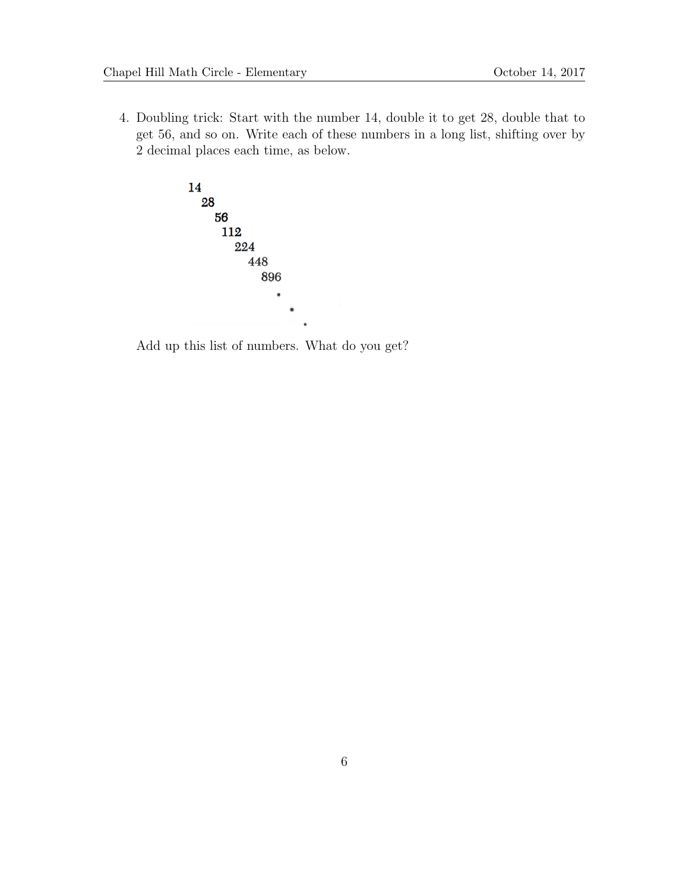4. Doubling trick: Start with the number 14, double it to get 28, double that to get 56, and so on. Write each of these numbers in a long list, shifting over by 2 decimal places each time, as below.



Add up this list of numbers. What do you get?